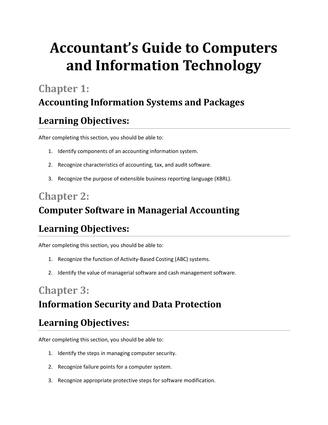# **Accountant's Guide to Computers and Information Technology**

# **Chapter 1:**

## **Accounting Information Systems and Packages**

## **Learning Objectives:**

After completing this section, you should be able to:

- 1. Identify components of an accounting information system.
- 2. Recognize characteristics of accounting, tax, and audit software.
- 3. Recognize the purpose of extensible business reporting language (XBRL).

## **Chapter 2: Computer Software in Managerial Accounting**

# **Learning Objectives:**

After completing this section, you should be able to:

- 1. Recognize the function of Activity-Based Costing (ABC) systems.
- 2. Identify the value of managerial software and cash management software.

## **Chapter 3: Information Security and Data Protection**

#### **Learning Objectives:**

After completing this section, you should be able to:

- 1. Identify the steps in managing computer security.
- 2. Recognize failure points for a computer system.
- 3. Recognize appropriate protective steps for software modification.